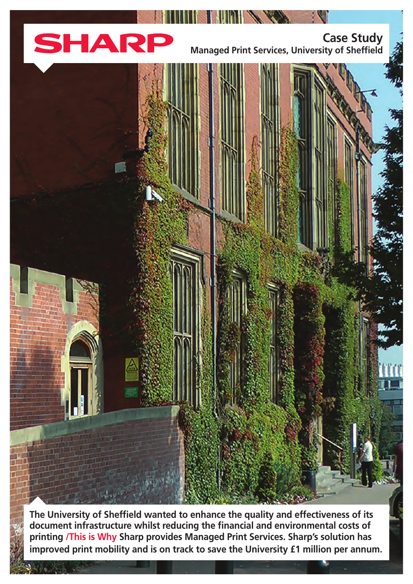

**Case Study Managed Print Services, University of Sheffield** 

The University of Sheffield wanted to enhance the quality and effectiveness of its document infrastructure whilst reducing the financial and environmental costs of printing /This is Why Sharp provides Managed Print Services. Sharp's solution has improved print mobility and is on track to save the University £1 million per annum.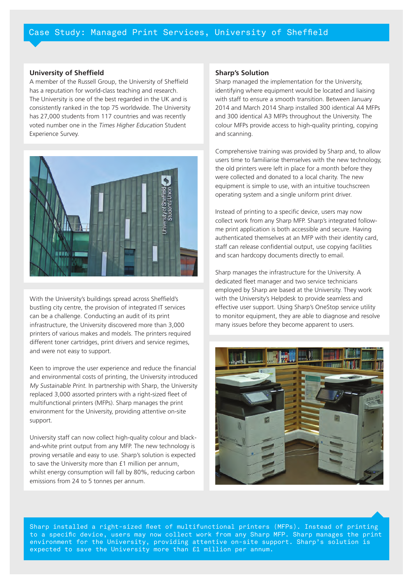### **University of Sheffield**

A member of the Russell Group, the University of Sheffield has a reputation for world-class teaching and research. The University is one of the best regarded in the UK and is consistently ranked in the top 75 worldwide. The University has 27,000 students from 117 countries and was recently voted number one in the Times Higher Education Student Experience Survey.



With the University's buildings spread across Sheffield's bustling city centre, the provision of integrated IT services can be a challenge. Conducting an audit of its print infrastructure, the University discovered more than 3,000 printers of various makes and models. The printers required different toner cartridges, print drivers and service regimes, and were not easy to support.

Keen to improve the user experience and reduce the financial and environmental costs of printing, the University introduced My Sustainable Print. In partnership with Sharp, the University replaced 3,000 assorted printers with a right-sized fleet of multifunctional printers (MFPs). Sharp manages the print environment for the University, providing attentive on-site support.

and-white print output from any MFP. The new technology is University staff can now collect high-quality colour and blackproving versatile and easy to use. Sharp's solution is expected to save the University more than £1 million per annum, whilst energy consumption will fall by 80%, reducing carbon emissions from 24 to 5 tonnes per annum.

## **Sharp's Solution**

Sharp managed the implementation for the University, identifying where equipment would be located and liaising with staff to ensure a smooth transition. Between January 2014 and March 2014 Sharp installed 300 identical A4 MFPs and 300 identical A3 MFPs throughout the University. The colour MFPs provide access to high-quality printing, copying and scanning.

Comprehensive training was provided by Sharp and, to allow users time to familiarise themselves with the new technology, the old printers were left in place for a month before they were collected and donated to a local charity. The new equipment is simple to use, with an intuitive touchscreen operating system and a single uniform print driver.

Instead of printing to a specific device, users may now me print application is both accessible and secure. Having collect work from any Sharp MFP. Sharp's integrated followauthenticated themselves at an MFP with their identity card, staff can release confidential output, use copying facilities and scan hardcopy documents directly to email.

Sharp manages the infrastructure for the University. A dedicated fleet manager and two service technicians employed by Sharp are based at the University. They work with the University's Helpdesk to provide seamless and effective user support. Using Sharp's OneStop service utility to monitor equipment, they are able to diagnose and resolve many issues before they become apparent to users.



Sharp installed a right-sized fleet of multifunctional printers (MFPs). Instead of printing to a specific device, users may now collect work from any Sharp MFP. Sharp manages the print  $e$ nvironment for the University, providing attentive on-site support. Sharp's solution is expected to save the University more than £1 million per annum.